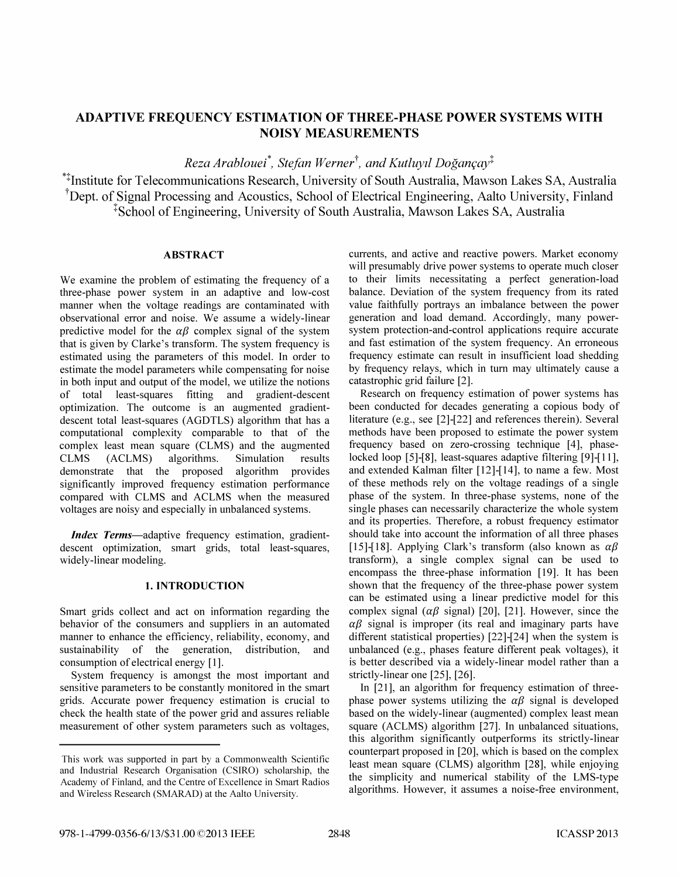## ADAPTIVE FREQUENCY ESTIMATION OF THREE-PHASE POWER SYSTEMS WITH NOISY MEASUREMENTS

Reza Arablouei<sup>\*</sup>, Stefan Werner<sup>†</sup>, and Kutluyıl Doğançay<sup>‡</sup>

\*1: Institute for Telecommunications Research, University of South Australia, Mawson Lakes SA, Australia <sup>†</sup>Dept. of Signal Processing and Acoustics, School of Electrical Engineering, Aalto University, Finland <sup>‡</sup>School of Engineering, University of South Australia, Mawson Lakes SA, Australia

#### ABSTRACT

We examine the problem of estimating the frequency of a three-phase power system in an adaptive and low-cost manner when the voltage readings are contaminated with observational error and noise. We assume a widely-linear predictive model for the  $\alpha\beta$  complex signal of the system that is given by Clarke's transform. The system frequency is estimated using the parameters of this model. In order to estimate the model parameters while compensating for noise in both input and output of the model, we utilize the notions of total least-squares fitting and gradient-descent optimization. The outcome is an augmented gradientdescent total least-squares (AGDTLS) algorithm that has a computational complexity comparable to that of the complex least mean square (CLMS) and the augmented CLMS (ACLMS) algorithms. Simulation results demonstrate that the proposed algorithm provides significantly improved frequency estimation performance compared with CLMS and ACLMS when the measured voltages are noisy and especially in unbalanced systems.

Index Terms—adaptive frequency estimation, gradientdescent optimization, smart grids, total least-squares, widely-linear modeling.

### 1. INTRODUCTION

Smart grids collect and act on information regarding the behavior of the consumers and suppliers in an automated manner to enhance the efficiency, reliability, economy, and sustainability of the generation, distribution, and consumption of electrical energy [1].

System frequency is amongst the most important and sensitive parameters to be constantly monitored in the smart grids. Accurate power frequency estimation is crucial to check the health state of the power grid and assures reliable measurement of other system parameters such as voltages,

currents, and active and reactive powers. Market economy will presumably drive power systems to operate much closer to their limits necessitating a perfect generation-load balance. Deviation of the system frequency from its rated value faithfully portrays an imbalance between the power generation and load demand. Accordingly, many powersystem protection-and-control applications require accurate and fast estimation of the system frequency. An erroneous frequency estimate can result in insufficient load shedding by frequency relays, which in turn may ultimately cause a catastrophic grid failure [2].

Research on frequency estimation of power systems has been conducted for decades generating a copious body of literature (e.g., see [2]-[22] and references therein). Several methods have been proposed to estimate the power system frequency based on zero-crossing technique [4], phaselocked loop [5]-[8], least-squares adaptive filtering [9]-[11], and extended Kalman filter [12]-[14], to name a few. Most of these methods rely on the voltage readings of a single phase of the system. In three-phase systems, none of the single phases can necessarily characterize the whole system and its properties. Therefore, a robust frequency estimator should take into account the information of all three phases [15]-[18]. Applying Clark's transform (also known as  $\alpha\beta$ transform), a single complex signal can be used to encompass the three-phase information [19]. It has been shown that the frequency of the three-phase power system can be estimated using a linear predictive model for this complex signal ( $\alpha\beta$  signal) [20], [21]. However, since the  $\alpha\beta$  signal is improper (its real and imaginary parts have different statistical properties) [22]-[24] when the system is unbalanced (e.g., phases feature different peak voltages), it is better described via a widely-linear model rather than a strictly-linear one [25], [26].

In [21], an algorithm for frequency estimation of threephase power systems utilizing the  $\alpha\beta$  signal is developed based on the widely-linear (augmented) complex least mean square (ACLMS) algorithm [27]. In unbalanced situations, this algorithm significantly outperforms its strictly-linear counterpart proposed in [20], which is based on the complex least mean square (CLMS) algorithm [28], while enjoying the simplicity and numerical stability of the LMS-type algorithms. However, it assumes a noise-free environment,

This work was supported in part by a Commonwealth Scientific and Industrial Research Organisation (CSIRO) scholarship, the Academy of Finland, and the Centre of Excellence in Smart Radios and Wireless Research (SMARAD) at the Aalto University.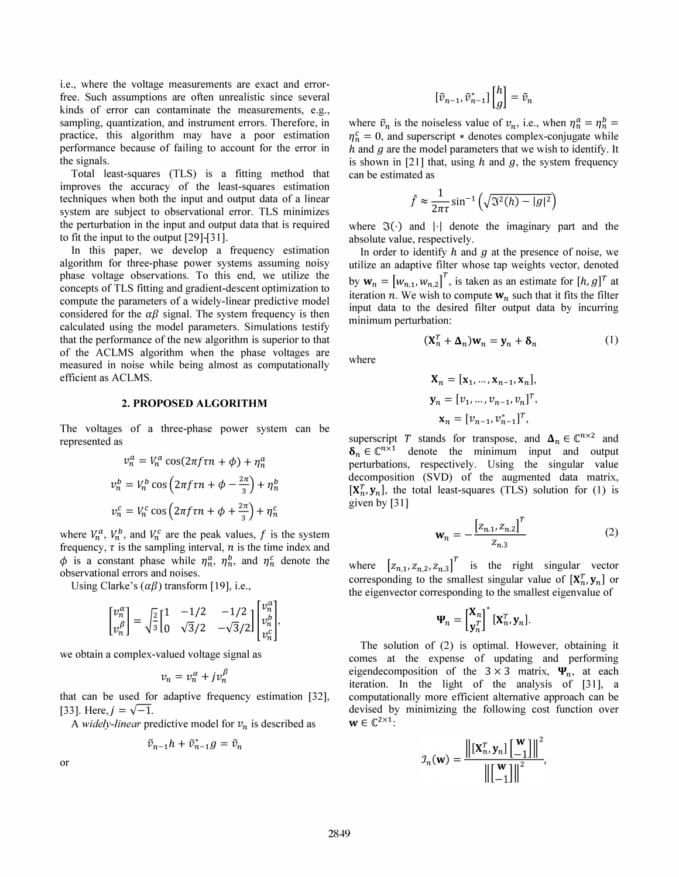i.e., where the voltage measurements are exact and errorfree. Such assumptions are often unrealistic since several kinds of error can contaminate the measurements, e.g., sampling, quantization, and instrument errors. Therefore, in practice, this algorithm may have a poor estimation performance because of failing to account for the error in the signals.

Total least-squares (TLS) is a fitting method that improves the accuracy of the least-squares estimation techniques when both the input and output data of a linear system are subject to observational error. TLS minimizes the perturbation in the input and output data that is required to fit the input to the output [29]-[31].

In this paper, we develop a frequency estimation algorithm for three-phase power systems assuming noisy phase voltage observations. To this end, we utilize the concepts of TLS fitting and gradient-descent optimization to compute the parameters of a widely-linear predictive model considered for the  $\alpha\beta$  signal. The system frequency is then calculated using the model parameters. Simulations testify that the performance of the new algorithm is superior to that of the ACLMS algorithm when the phase voltages are measured in noise while being almost as computationally efficient as ACLMS.

#### 2. PROPOSED ALGORITHM

The voltages of a three-phase power system can be represented as

$$
v_n^a = V_n^a \cos(2\pi f \tau n + \phi) + \eta_n^a
$$
  
\n
$$
v_n^b = V_n^b \cos\left(2\pi f \tau n + \phi - \frac{2\pi}{3}\right) + \eta_n^b
$$
  
\n
$$
v_n^c = V_n^c \cos\left(2\pi f \tau n + \phi + \frac{2\pi}{3}\right) + \eta_n^c
$$

where  $V_n^a$ ,  $V_n^b$ , and  $V_n^c$  are the peak values, f is the system frequency,  $\tau$  is the sampling interval,  $n$  is the time index and  $\phi$  is a constant phase while  $\eta_n^a$ ,  $\eta_n^b$ , and  $\eta_n^c$  denote the observational errors and noises.

Using Clarke's  $(\alpha\beta)$  transform [19], i.e.,

$$
\begin{bmatrix} v_n^{\alpha} \\ v_n^{\beta} \end{bmatrix} = \sqrt{\frac{2}{3}} \begin{bmatrix} 1 & -1/2 & -1/2 \\ 0 & \sqrt{3}/2 & -\sqrt{3}/2 \end{bmatrix} \begin{bmatrix} v_n^{\alpha} \\ v_n^{\beta} \\ v_n^{\beta} \end{bmatrix},
$$

we obtain a complex-valued voltage signal as

$$
v_n = v_n^{\alpha} + j v_n^{\beta}
$$

that can be used for adaptive frequency estimation [32], [33]. Here,  $j = \sqrt{-1}$ .

A widely-linear predictive model for  $v_n$  is described as

$$
\tilde{v}_{n-1}h + \tilde{v}_{n-1}^*g = \tilde{v}_n
$$

or

$$
[\tilde{v}_{n-1},\tilde{v}_{n-1}^*]\begin{bmatrix}h\\g\end{bmatrix}=\tilde{v}_n
$$

where  $\tilde{v}_n$  is the noiseless value of  $v_n$ , i.e., when  $\eta_n^a = \eta_n^b =$  $\eta_n^c = 0$ , and superscript  $*$  denotes complex-conjugate while  $h$  and  $g$  are the model parameters that we wish to identify. It is shown in [21] that, using h and  $q$ , the system frequency can be estimated as

$$
\hat{f} \approx \frac{1}{2\pi\tau} \sin^{-1} \left( \sqrt{\mathfrak{F}^2(h) - |g|^2} \right)
$$

where  $\Im(\cdot)$  and  $|\cdot|$  denote the imaginary part and the absolute value, respectively.

In order to identify  $h$  and  $g$  at the presence of noise, we utilize an adaptive filter whose tap weights vector, denoted by  $\mathbf{w}_n = [w_{n,1}, w_{n,2}]^T$ , is taken as an estimate for  $[h, g]^T$  at iteration n. We wish to compute  $w_n$  such that it fits the filter input data to the desired filter output data by incurring minimum perturbation:

$$
(\mathbf{X}_n^T + \boldsymbol{\Delta}_n)\mathbf{w}_n = \mathbf{y}_n + \boldsymbol{\delta}_n \tag{1}
$$

where

$$
\mathbf{X}_n = [\mathbf{x}_1, ..., \mathbf{x}_{n-1}, \mathbf{x}_n],
$$
  
\n
$$
\mathbf{y}_n = [v_1, ..., v_{n-1}, v_n]^T,
$$
  
\n
$$
\mathbf{x}_n = [v_{n-1}, v_{n-1}^*]^T,
$$

superscript T stands for transpose, and  $\Delta_n \in \mathbb{C}^{n \times 2}$  and  $\delta_n \in \mathbb{C}^{n \times 1}$  denote the minimum input and output perturbations, respectively. Using the singular value decomposition (SVD) of the augmented data matrix,  $[X_n^T, y_n]$ , the total least-squares (TLS) solution for (1) is given by [31]

$$
\mathbf{w}_n = -\frac{\left[z_{n,1}, z_{n,2}\right]^T}{z_{n,3}}\tag{2}
$$

where  $[z_{n,1}, z_{n,2}, z_{n,3}]^T$  is the right singular vector corresponding to the smallest singular value of  $[X_n^T, y_n]$  or the eigenvector corresponding to the smallest eigenvalue of

$$
\mathbf{\Psi}_n = \begin{bmatrix} \mathbf{X}_n \\ \mathbf{y}_n^T \end{bmatrix}^* [\mathbf{X}_n^T, \mathbf{y}_n].
$$

The solution of (2) is optimal. However, obtaining it comes at the expense of updating and performing eigendecomposition of the  $3 \times 3$  matrix,  $\Psi_n$ , at each iteration. In the light of the analysis of [31], a computationally more efficient alternative approach can be devised by minimizing the following cost function over  $\mathbf{w} \in \mathbb{C}^{2 \times 1}$ :

$$
\mathcal{I}_n(\mathbf{w}) = \frac{\left\| \left[ \mathbf{X}_n^T, \mathbf{y}_n \right] \left[ \begin{array}{c} \mathbf{w} \\ -1 \end{array} \right] \right\|^2}{\left\| \begin{bmatrix} \mathbf{w} \\ -1 \end{bmatrix} \right\|^2},
$$